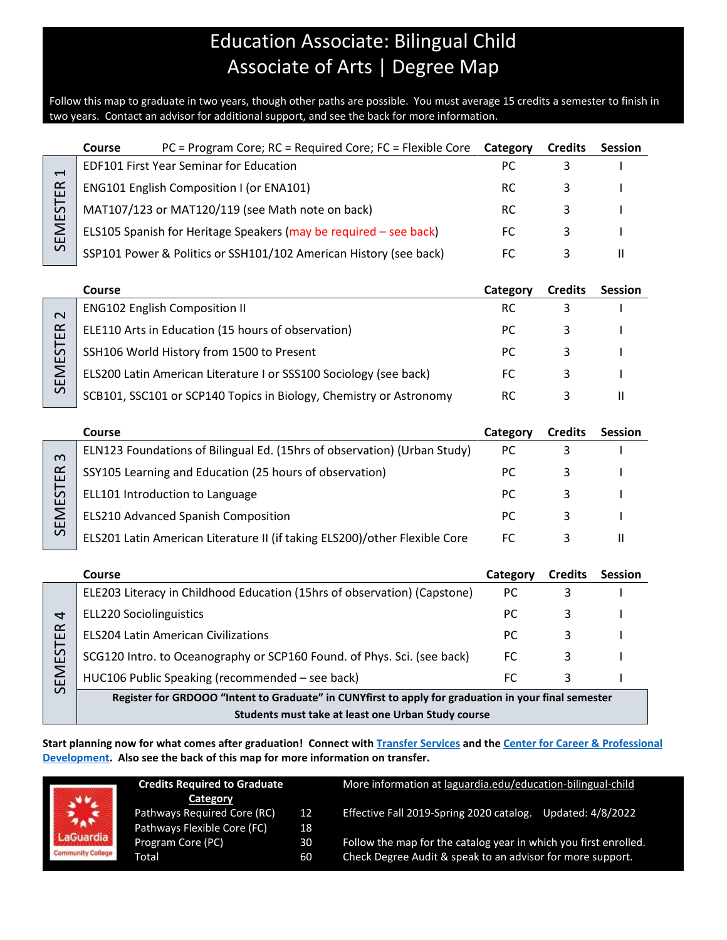## Education Associate: Bilingual Child Associate of Arts | Degree Map

Follow this map to graduate in two years, though other paths are possible. You must average 15 credits a semester to finish in two years. Contact an advisor for additional support, and see the back for more information.

|                | <b>Course</b> | $PC = Program Core$ ; $RC = Required Core$ ; $FC = Flexible Core$ | Category  | <b>Credits</b> | <b>Session</b> |
|----------------|---------------|-------------------------------------------------------------------|-----------|----------------|----------------|
| $\blacksquare$ |               | EDF101 First Year Seminar for Education                           | РC        |                |                |
| ER             |               | <b>ENG101 English Composition I (or ENA101)</b>                   | RC        |                |                |
| EST            |               | MAT107/123 or MAT120/119 (see Math note on back)                  | <b>RC</b> |                |                |
| Σ<br>ш         |               | ELS105 Spanish for Heritage Speakers (may be required - see back) | FC.       |                |                |
| $\Omega$       |               | SSP101 Power & Politics or SSH101/102 American History (see back) |           |                |                |

|               | Course                                                             | Category | <b>Credits</b> | <b>Session</b> |
|---------------|--------------------------------------------------------------------|----------|----------------|----------------|
| $\sim$        | <b>ENG102 English Composition II</b>                               | RC       |                |                |
| $\alpha$<br>ш | ELE110 Arts in Education (15 hours of observation)                 | PC.      |                |                |
| 55<br>ш       | SSH106 World History from 1500 to Present                          | PC.      |                |                |
| ш             | ELS200 Latin American Literature I or SSS100 Sociology (see back)  | FC       |                |                |
| $\Omega$      | SCB101, SSC101 or SCP140 Topics in Biology, Chemistry or Astronomy | RC       |                |                |

|                              | Course                                                                     | Category | <b>Credits</b> | <b>Session</b> |
|------------------------------|----------------------------------------------------------------------------|----------|----------------|----------------|
| $\infty$                     | ELN123 Foundations of Bilingual Ed. (15hrs of observation) (Urban Study)   | РC       |                |                |
| ≃<br>$\overline{\mathbf{u}}$ | SSY105 Learning and Education (25 hours of observation)                    | РC       |                |                |
| 57<br>ш                      | ELL101 Introduction to Language                                            | PC.      |                |                |
| ш                            | ELS210 Advanced Spanish Composition                                        | РC       |                |                |
| $\Omega$                     | ELS201 Latin American Literature II (if taking ELS200)/other Flexible Core | FC       |                |                |

|                                                         | Course                                                                                               | Category | <b>Credits</b> | <b>Session</b> |  |
|---------------------------------------------------------|------------------------------------------------------------------------------------------------------|----------|----------------|----------------|--|
| ₹<br>$\alpha$<br>$\mathbf{H}$<br>S<br>$\mathbf{H}$<br>ш | ELE203 Literacy in Childhood Education (15hrs of observation) (Capstone)                             | РC       |                |                |  |
|                                                         | <b>ELL220 Sociolinguistics</b>                                                                       | РC       |                |                |  |
|                                                         | <b>ELS204 Latin American Civilizations</b>                                                           | РC       |                |                |  |
|                                                         | SCG120 Intro. to Oceanography or SCP160 Found. of Phys. Sci. (see back)                              | FC       |                |                |  |
|                                                         | HUC106 Public Speaking (recommended - see back)                                                      |          |                |                |  |
| $\mathcal{L}$                                           | Register for GRDOOO "Intent to Graduate" in CUNVfirst to annly for graduation in your final semester |          |                |                |  |

**IN CUNYTIFST TO apply for graduatio Students must take at least one Urban Study course**

**Start planning now for what comes after graduation! Connect with [Transfer Services](https://www.laguardia.edu/transferservices/) and the [Center for Career & Professional](https://www.laguardia.edu/careerservices/)  [Development.](https://www.laguardia.edu/careerservices/) Also see the back of this map for more information on transfer.**

|                                       | <b>Credits Required to Graduate</b>                                    |          | More information at laguardia.edu/education-bilingual-child                                                                    |  |  |
|---------------------------------------|------------------------------------------------------------------------|----------|--------------------------------------------------------------------------------------------------------------------------------|--|--|
| 禁                                     | Category<br>Pathways Required Core (RC)<br>Pathways Flexible Core (FC) | 12<br>18 | Effective Fall 2019-Spring 2020 catalog.<br>Updated: 4/8/2022                                                                  |  |  |
| LaGuardia<br><b>Community College</b> | Program Core (PC)<br>Total                                             | 30<br>60 | Follow the map for the catalog year in which you first enrolled.<br>Check Degree Audit & speak to an advisor for more support. |  |  |